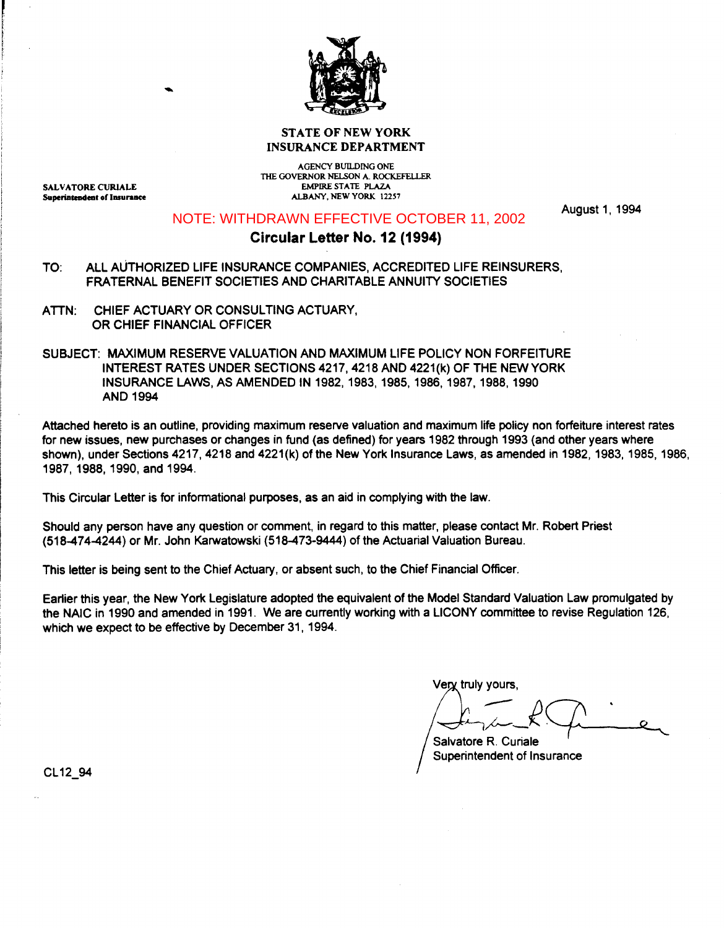

# STATE OF NEW YORK INSURANCE DEPARTMENT

SALVATORE CURIALE Superintendent of Insurance

AGENCY BUILDING ONE THE GOVERNOR NELSON A. ROCKEFELLER EMPIRE STATE PLAZA ALBANY, NEW YORK 12257

NOTE: WITHDRAWN EFFECTIVE OCTOBER 11, 2002

August 1, 1994

# **Circular Letter No. 12 (1994)**

- TO: All AUTHORIZED LIFE INSURANCE COMPANIES, ACCREDITED LIFE REINSURERS, FRATERNAL BENEFIT SOCIETIES AND CHARITABLE ANNUITY SOCIETIES
- ATTN: CHIEF ACTUARY OR CONSULTING ACTUARY, OR CHIEF FINANCIAL OFFICER
- SUBJECT: MAXIMUM RESERVE VALUATION AND MAXIMUM LIFE POLICY NON FORFEITURE INTEREST RATES UNDER SECTIONS 4217, 4218 AND 4221 (k) OF THE NEW YORK INSURANCE LAWS, AS AMENDED IN 1982, 1983, 1985, 1986, 1987, 1988, 1990 AND 1994

Attached hereto is an outline, providing maximum reserve valuation and maximum life policy non forfeiture interest rates for new issues, new purchases or changes in fund (as defined) for years 1982 through 1993 (and other years where shown), under Sections 4217, 4218 and 4221(k) of the New York Insurance Laws, as amended in 1982, 1983, 1985, 1986, 1987, 1988, 1990, and 1994.

This Circular Letter is for informational purposes, as an aid in complying with the law.

Should any person have any question or comment, in regard to this matter, please contact Mr. Robert Priest (518-474-4244) or Mr. John Karwatowski (518-473-9444) of the Actuarial Valuation Bureau.

This letter is being sent to the Chief Actuary, or absent such, to the Chief Financial Officer.

Earlier this year, the New York Legislature adopted the equivalent of the Model Standard Valuation Law promulgated by the NAIC in 1990 and amended in 1991. We are currently working with a LICONY committee to revise Regulation 126, which we expect to be effective by December 31, 1994.

Very truly yours.

 $R_{\rm max}$ 

Salvatore R. Curiale Superintendent of Insurance

CL12\_94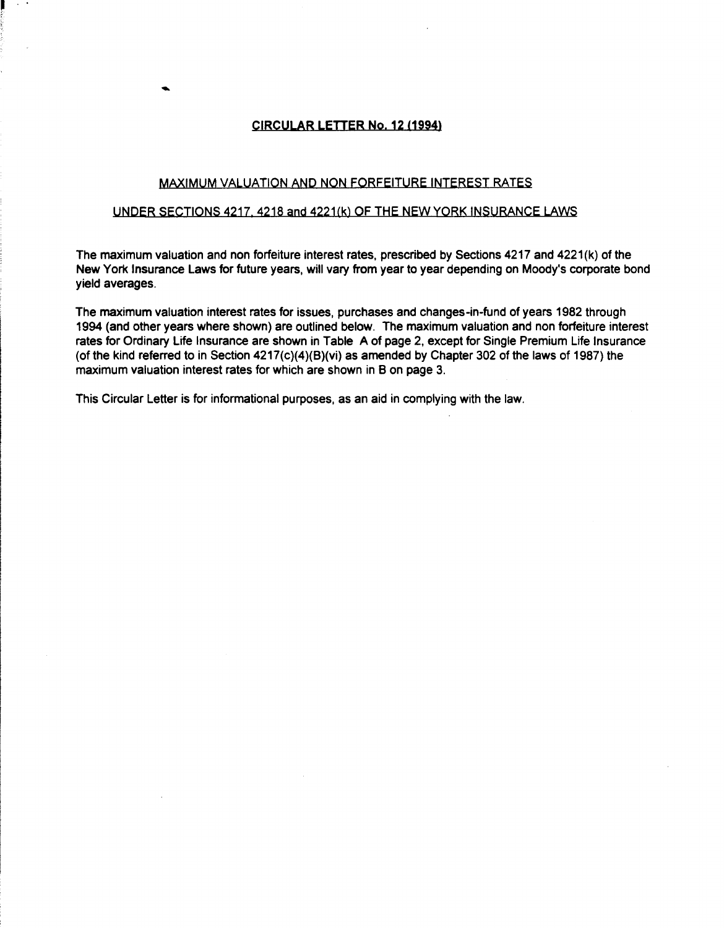# CIRCULAR LETTER No. 12 (1994)

-

#### MAXIMUM VALUATION AND NON FORFEITURE INTEREST RATES

#### UNDER SECTIONS 4217, 4218 and 4221(k) OF THE NEW YORK INSURANCE LAWS

The maximum valuation and non forfeiture interest rates, prescribed by Sections 4217 and 4221 (k) of the New York Insurance Laws for future years, will vary from year to year depending on Moody's corporate bond yield averages.

The maximum valuation interest rates for issues, purchases and changes-in-fund of years 1982 through 1994 (and other years where shown) are outlined below. The maximum valuation and non forfeiture interest rates for Ordinary Life Insurance are shown in Table A of page 2, except for Single Premium Life Insurance (of the kind referred to in Section 4217(c)(4)(B)(vi) as amended by Chapter 302 of the laws of 1987) the maximum valuation interest rates for which are shown in B on page 3.

This Circular Letter is for informational purposes, as an aid in complying with the law.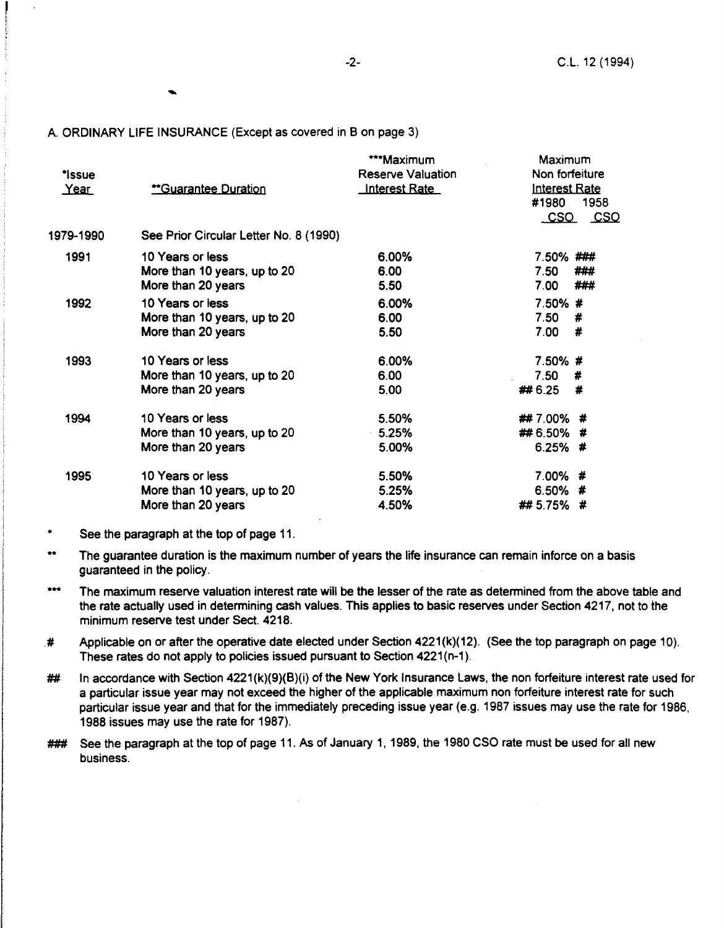#### A ORDINARY LIFE INSURANCE (Except as covered in B on page 3)

| *Issue<br>Year | **Guarantee Duration                                                   | ***Maximum<br>Reserve Valuation<br><b>Interest Rate</b> | Maximum<br>Non forfeiture<br><b>Interest Rate</b><br>#1980<br>1958<br><u>_CSO _ CSO</u> |
|----------------|------------------------------------------------------------------------|---------------------------------------------------------|-----------------------------------------------------------------------------------------|
| 1979-1990      | See Prior Circular Letter No. 8 (1990)                                 |                                                         |                                                                                         |
| 1991           | 10 Years or less<br>More than 10 years, up to 20<br>More than 20 years | 6.00%<br>6.00<br>5.50                                   | 7.50%###<br>7.50<br>###<br>###<br>7.00                                                  |
| 1992           | 10 Years or less<br>More than 10 years, up to 20<br>More than 20 years | 6.00%<br>6.00<br>5.50                                   | 7.50%#<br>7.50<br>#<br>7.00<br>#                                                        |
| 1993           | 10 Years or less<br>More than 10 years, up to 20<br>More than 20 years | 6.00%<br>6.00<br>5.00                                   | 7.50%#<br>7.50<br>#<br>## 6.25<br>#                                                     |
| 1994           | 10 Years or less<br>More than 10 years, up to 20<br>More than 20 years | 5.50%<br>5.25%<br>5.00%                                 | ##7.00%#<br>## 6.50% #<br>$6.25\%$ #                                                    |
| 1995           | 10 Years or less<br>More than 10 years, up to 20<br>More than 20 years | 5.50%<br>5.25%<br>4.50%                                 | 7.00%#<br>6.50%#<br>##5.75%#                                                            |

<sup>\*</sup>  See the paragraph at the top of page 11.

- $+ + +$ The maximum reserve valuation interest rate will be the lesser of the rate as determined from the above table and the rate actually used in determining cash values. This applies to basic reserves under Section 4217, not to the minimum reserve test under Sect. 4218.
- $\#$  Applicable on or after the operative date elected under Section 4221(k)(12). (See the top paragraph on page 10). These rates do not apply to policies issued pursuant to Section 4221(n-1).
- $\#$  In accordance with Section 4221(k)(9)(B)(i) of the New York Insurance Laws, the non forfeiture interest rate used for a particular issue year may not exceed the higher of the applicable maximum non forfeiture interest rate for such particular issue year and that for the immediately preceding issue year (e.g. 1987 issues may use the rate for 1986, 1988 issues may use the rate for 1987).
- ### See the paragraph at the top of page 11. As of January 1, 1989, the 1980 CSO rate must be used for all new business.

<sup>\*\*</sup> The guarantee duration is the maximum number of years the life insurance can remain inforce on a basis guaranteed in the policy.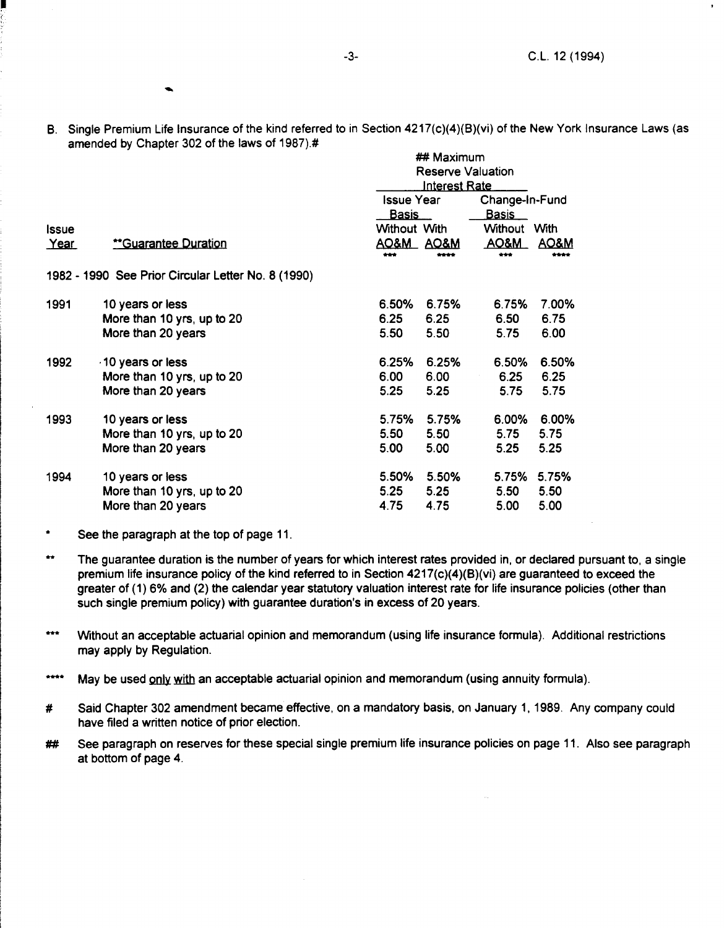..

B. Single Premium Life Insurance of the kind referred to in Section 4217(c)(4)(B)(vi) of the New York Insurance Laws (as amended by Chapter 302 of the laws of 1987).# ##Maximum

|       |                                                    | <del>1777</del> IVIOAIHIUHI |                 |                                         |                 |  |  |
|-------|----------------------------------------------------|-----------------------------|-----------------|-----------------------------------------|-----------------|--|--|
|       |                                                    | <b>Reserve Valuation</b>    |                 |                                         |                 |  |  |
|       |                                                    |                             |                 | <u> Interest Rate</u><br>Change-In-Fund |                 |  |  |
|       |                                                    | <b>Issue Year</b>           |                 |                                         |                 |  |  |
|       |                                                    | <u>Basis</u>                |                 | <b>Basis</b>                            |                 |  |  |
| Issue |                                                    | Without With                |                 | <b>Without</b>                          | With            |  |  |
| Year  | <u>**Guarantee Duration</u>                        | <u>AO&amp;M_</u>            | <b>AO&amp;M</b> | <u>AO&amp;M</u>                         | <b>AO&amp;M</b> |  |  |
|       |                                                    | ***                         | ****            | ***                                     | ****            |  |  |
|       | 1982 - 1990 See Prior Circular Letter No. 8 (1990) |                             |                 |                                         |                 |  |  |
| 1991  | 10 years or less                                   | 6.50%                       | 6.75%           | 6.75%                                   | 7.00%           |  |  |
|       | More than 10 yrs, up to 20                         | 6.25                        | 6.25            | 6.50                                    | 6.75            |  |  |
|       | More than 20 years                                 | 5.50                        | 5.50            | 5.75                                    | 6.00            |  |  |
|       |                                                    |                             |                 |                                         |                 |  |  |
| 1992  | 10 years or less                                   | 6.25%                       | 6.25%           | 6.50%                                   | 6.50%           |  |  |
|       | More than 10 yrs, up to 20                         | 6.00                        | 6.00            | 6.25                                    | 6.25            |  |  |
|       | More than 20 years                                 | 5.25                        | 5.25            | 5.75                                    | 5.75            |  |  |
| 1993  | 10 years or less                                   | 5.75%                       | 5.75%           | 6.00%                                   | 6.00%           |  |  |
|       | More than 10 yrs, up to 20                         | 5.50                        | 5.50            | 5.75                                    | 5.75            |  |  |
|       | More than 20 years                                 | 5.00                        | 5.00            | 5.25                                    | 5.25            |  |  |
|       |                                                    |                             |                 |                                         |                 |  |  |
| 1994  | 10 years or less                                   | 5.50%                       | 5.50%           | 5.75%                                   | 5.75%           |  |  |
|       | More than 10 yrs, up to 20                         | 5.25                        | 5.25            | 5.50                                    | 5.50            |  |  |
|       | More than 20 years                                 | 4.75                        | 4.75            | 5.00                                    | 5.00            |  |  |
|       |                                                    |                             |                 |                                         |                 |  |  |

- \* See the paragraph at the top of page 11.
- <sup>\*\*</sup> The quarantee duration is the number of years for which interest rates provided in, or declared pursuant to, a single premium life insurance policy of the kind referred to in Section  $4217(c)(4)(B)(vi)$  are guaranteed to exceed the greater of (1) 6% and (2) the calendar year statutory valuation interest rate for life insurance policies (other than such single premium policy) with guarantee duration's in excess of 20 years.
- \*\*\* Without an acceptable actuarial opinion and memorandum (using life insurance formula). Additional restrictions may apply by Regulation.
- $***$ May be used only with an acceptable actuarial opinion and memorandum (using annuity formula).
- # Said Chapter 302 amendment became effective, on a mandatory basis, on January 1, 1989. Any company could have filed a written notice of prior election.
- ## See paragraph on reserves for these special single premium life insurance policies on page 11. Also see paragraph at bottom of page 4.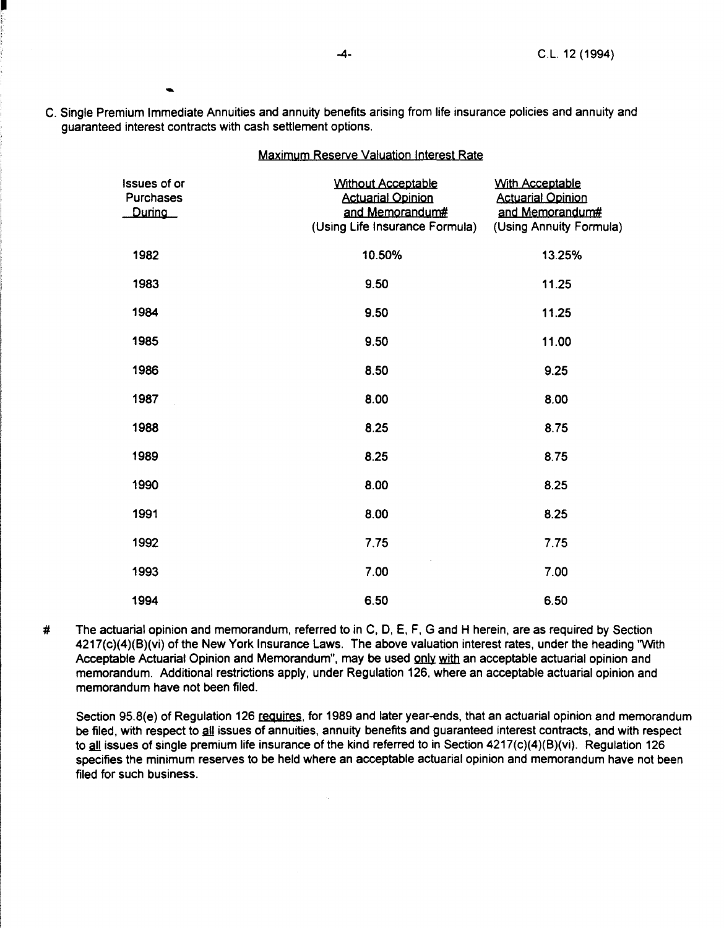- 
- -C. Single Premium Immediate Annuities and annuity benefits arising from life insurance policies and annuity and guaranteed interest contracts with cash settlement options.

Maximum Reserve Valuation Interest Rate

|                                     | <u>MOAILIQUE RESERVE VOIDOUOILILINGICSI ROIC</u>                                                                                   |                                                                       |
|-------------------------------------|------------------------------------------------------------------------------------------------------------------------------------|-----------------------------------------------------------------------|
| Issues of or<br>Purchases<br>During | <b>Without Acceptable</b><br><b>Actuarial Opinion</b><br>and Memorandum#<br>(Using Life Insurance Formula) (Using Annuity Formula) | <b>With Acceptable</b><br><b>Actuarial Opinion</b><br>and Memorandum# |
| 1982                                | 10.50%                                                                                                                             | 13.25%                                                                |
| 1983                                | 9.50                                                                                                                               | 11.25                                                                 |
| 1984                                | 9.50                                                                                                                               | 11.25                                                                 |
| 1985                                | 9.50                                                                                                                               | 11.00                                                                 |
| 1986                                | 8.50                                                                                                                               | 9.25                                                                  |
| 1987                                | 8.00                                                                                                                               | 8.00                                                                  |
| 1988                                | 8.25                                                                                                                               | 8.75                                                                  |
| 1989                                | 8.25                                                                                                                               | 8.75                                                                  |
| 1990                                | 8.00                                                                                                                               | 8.25                                                                  |
| 1991                                | 8.00                                                                                                                               | 8.25                                                                  |
| 1992                                | 7.75                                                                                                                               | 7.75                                                                  |
| 1993                                | 7.00                                                                                                                               | 7.00                                                                  |
| 1994                                | 6.50                                                                                                                               | 6.50                                                                  |

# The actuarial opinion and memorandum, referred to in C, D, E, F, G and H herein, are as required by Section 4217(c)(4)(B)(vi) of the New York Insurance Laws. The above valuation interest rates, under the heading "With Acceptable Actuarial Opinion and Memorandum", may be used only with an acceptable actuarial opinion and memorandum. Additional restrictions apply, under Regulation 126, where an acceptable actuarial opinion and memorandum have not been filed.

Section 95.8(e) of Regulation 126 requires, for 1989 and later year-ends, that an actuarial opinion and memorandum be filed, with respect to all issues of annuities, annuity benefits and guaranteed interest contracts, and with respect to all issues of single premium life insurance of the kind referred to in Section  $4217(c)(4)(B)(vi)$ . Regulation 126 specifies the minimum reserves to be held where an acceptable actuarial opinion and memorandum have not been filed for such business.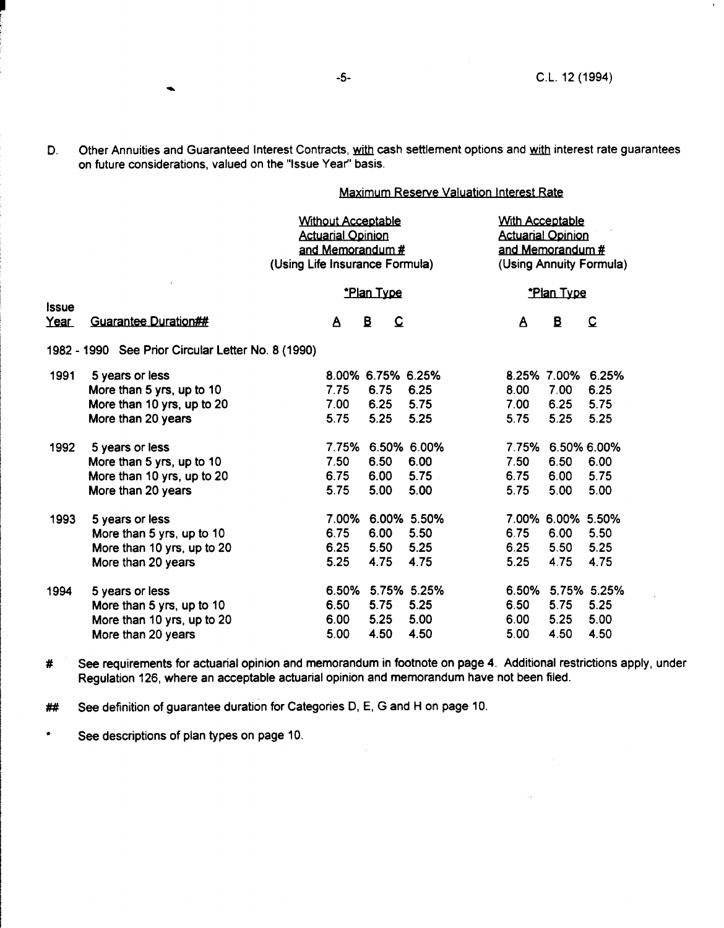D. Other Annuities and Guaranteed Interest Contracts, with cash settlement options and with interest rate guarantees on future considerations, valued on the "Issue Year" basis.

Maximum Reserve Valuation Interest Rate

|                      |                                                    | <b>Without Acceptable</b><br><b>Actuarial Opinion</b><br>and Memorandum #<br>(Using Life Insurance Formula) |                                         |             |       | <b>With Acceptable</b><br><b>Actuarial Opinion</b><br>and Memorandum #<br>(Using Annuity Formula) |                |  |
|----------------------|----------------------------------------------------|-------------------------------------------------------------------------------------------------------------|-----------------------------------------|-------------|-------|---------------------------------------------------------------------------------------------------|----------------|--|
|                      |                                                    |                                                                                                             | <u>*Plan Type</u>                       |             |       | *Plan Type                                                                                        |                |  |
| <b>Issue</b><br>Year | <b>Guarantee Duration##</b>                        | A                                                                                                           | $\mathbf{B}$<br>$\overline{\mathbf{C}}$ |             | Δ     | B                                                                                                 | $\overline{C}$ |  |
|                      | 1982 - 1990 See Prior Circular Letter No. 8 (1990) |                                                                                                             |                                         |             |       |                                                                                                   |                |  |
| 1991                 | 5 years or less                                    |                                                                                                             | 8.00% 6.75% 6.25%                       |             |       | 8.25% 7.00%                                                                                       | 6.25%          |  |
|                      | More than 5 yrs, up to 10                          | 7.75                                                                                                        | 6.75                                    | 6.25        | 8.00  | 7.00                                                                                              | 6.25           |  |
|                      | More than 10 yrs, up to 20                         | 7.00                                                                                                        | 6.25                                    | 5.75        | 7.00  | 6.25                                                                                              | 5.75           |  |
|                      | More than 20 years                                 | 5.75                                                                                                        | 5.25                                    | 5.25        | 5.75  | 5.25                                                                                              | 5.25           |  |
| 1992                 | 5 years or less                                    |                                                                                                             | 7.75% 6.50% 6.00%                       |             | 7.75% |                                                                                                   | 6.50% 6.00%    |  |
|                      | More than 5 yrs, up to 10                          | 7.50                                                                                                        | 6.50                                    | 6.00        | 7.50  | 6.50                                                                                              | 6.00           |  |
|                      | More than 10 yrs, up to 20                         | 6.75                                                                                                        | 6.00                                    | 5.75        | 6.75  | 6.00                                                                                              | 5.75           |  |
|                      | More than 20 years                                 | 5.75                                                                                                        | 5.00                                    | 5.00        | 5.75  | 5.00                                                                                              | 5.00           |  |
| 1993                 | 5 years or less                                    | 7.00%                                                                                                       |                                         | 6.00% 5.50% |       | 7.00% 6.00% 5.50%                                                                                 |                |  |
|                      | More than 5 yrs, up to 10                          | 6.75                                                                                                        | 6.00                                    | 5.50        | 6.75  | 6.00                                                                                              | 5.50           |  |
|                      | More than 10 yrs, up to 20                         | 6.25                                                                                                        | 5.50                                    | 5.25        | 6.25  | 5.50                                                                                              | 5.25           |  |
|                      | More than 20 years                                 | 5.25                                                                                                        | 4.75                                    | 4.75        | 5.25  | 4.75                                                                                              | 4.75           |  |
| 1994                 | 5 years or less                                    | 6.50%                                                                                                       |                                         | 5.75% 5.25% | 6.50% |                                                                                                   | 5.75% 5.25%    |  |
|                      | More than 5 yrs, up to 10                          | 6.50                                                                                                        | 5.75                                    | 5.25        | 6.50  | 5.75                                                                                              | 5.25           |  |
|                      | More than 10 yrs, up to 20                         | 6.00                                                                                                        | 5.25                                    | 5.00        | 6.00  | 5.25                                                                                              | 5.00           |  |
|                      | More than 20 years                                 | 5.00                                                                                                        | 4.50                                    | 4.50        | 5.00  | 4.50                                                                                              | 4.50           |  |

# See requirements for actuarial opinion and memorandum in footnote on page 4. Additional restrictions apply, under Regulation 126, where an acceptable actuarial opinion and memorandum have not been filed.

**##** See definition of guarantee duration for Categories D, E, G and H on page 10.

\* See descriptions of plan types on page 10.

-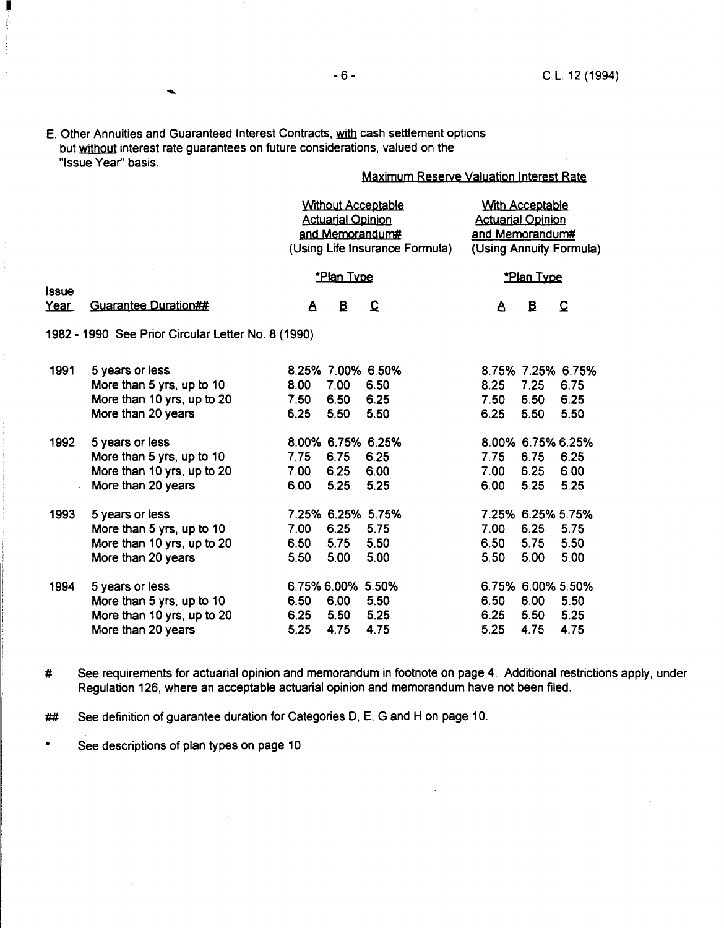$\blacktriangle$ 

 $\mathcal{L}^{\text{eff}}_{\text{eff}}$ 

E. Other Annuities and Guaranteed Interest Contracts, with cash settlement options but without interest rate guarantees on future considerations, valued on the "Issue Year'' basis.

# **Maximum Reserve Valuation Interest Rate**

|                             |                                                    | <b>Without Acceptable</b><br><b>Actuarial Opinion</b><br>and Memorandum#<br>(Using Life Insurance Formula) |                   |                   | <b>With Acceptable</b><br><b>Actuarial Opinion</b><br>and Memorandum#<br>(Using Annuity Formula) |                   |                   |
|-----------------------------|----------------------------------------------------|------------------------------------------------------------------------------------------------------------|-------------------|-------------------|--------------------------------------------------------------------------------------------------|-------------------|-------------------|
|                             |                                                    |                                                                                                            | *Plan Type        |                   |                                                                                                  | *Plan Type        |                   |
| <b>Issue</b><br><u>Year</u> | <b>Guarantee Duration##</b>                        | A                                                                                                          | $\mathbf{B}$      | $\mathbf{\Omega}$ | A                                                                                                | $\mathbf{B}$      | $\mathbf{\Omega}$ |
|                             | 1982 - 1990 See Prior Circular Letter No. 8 (1990) |                                                                                                            |                   |                   |                                                                                                  |                   |                   |
| 1991                        | 5 years or less                                    |                                                                                                            |                   | 8.25% 7.00% 6.50% |                                                                                                  | 8.75% 7.25% 6.75% |                   |
|                             | More than 5 yrs, up to 10                          | 8.00                                                                                                       | 7.00              | 6.50              | 8.25                                                                                             | 7.25              | 6.75              |
|                             | More than 10 yrs, up to 20                         | 7.50                                                                                                       | 6.50              | 6.25              | 7.50                                                                                             | 6.50              | 6.25              |
|                             | More than 20 years                                 | 6.25                                                                                                       | 5.50              | 5.50              | 6.25                                                                                             | 5.50              | 5.50              |
| 1992                        | 5 years or less                                    |                                                                                                            |                   | 8.00% 6.75% 6.25% |                                                                                                  | 8.00% 6.75% 6.25% |                   |
|                             | More than 5 yrs, up to 10                          | 7.75                                                                                                       | 6.75              | 6.25              | 7.75                                                                                             | 6.75              | 6.25              |
|                             | More than 10 yrs, up to 20                         | 7.00                                                                                                       | 6.25              | 6.00              | 7.00                                                                                             | 6.25              | 6.00              |
|                             | More than 20 years                                 | 6.00                                                                                                       | 5.25              | 5.25              | 6.00                                                                                             | 5.25              | 5.25              |
| 1993                        | 5 years or less                                    |                                                                                                            |                   | 7.25% 6.25% 5.75% |                                                                                                  | 7.25% 6.25% 5.75% |                   |
|                             | More than 5 yrs, up to 10                          | 7.00                                                                                                       | 6.25              | 5.75              | 7.00                                                                                             | 6.25              | 5.75              |
|                             | More than 10 yrs, up to 20                         | 6.50                                                                                                       | 5.75              | 5.50              | 6.50                                                                                             | 5.75              | 5.50              |
|                             | More than 20 years                                 | 5.50                                                                                                       | 5.00              | 5.00              | 5.50                                                                                             | 5.00              | 5.00              |
| 1994                        | 5 years or less                                    |                                                                                                            | 6.75% 6.00% 5.50% |                   |                                                                                                  | 6.75% 6.00% 5.50% |                   |
|                             | More than 5 yrs, up to 10                          | 6.50                                                                                                       | 6.00              | 5.50              | 6.50                                                                                             | 6.00              | 5.50              |
|                             | More than 10 yrs, up to 20                         | 6.25                                                                                                       | 5.50              | 5.25              | 6.25                                                                                             | 5.50              | 5.25              |
|                             | More than 20 years                                 | 5.25                                                                                                       | 4.75              | 4.75              | 5.25                                                                                             | 4.75              | 4.75              |

# See requirements for actuarial opinion and memorandum in footnote on page 4. Additional restrictions apply, under Regulation 126, where an acceptable actuarial opinion and memorandum have not been filed.

**##** See definition of guarantee duration for Categories D, E, G and H on page 10.

\* See descriptions of plan types on page 10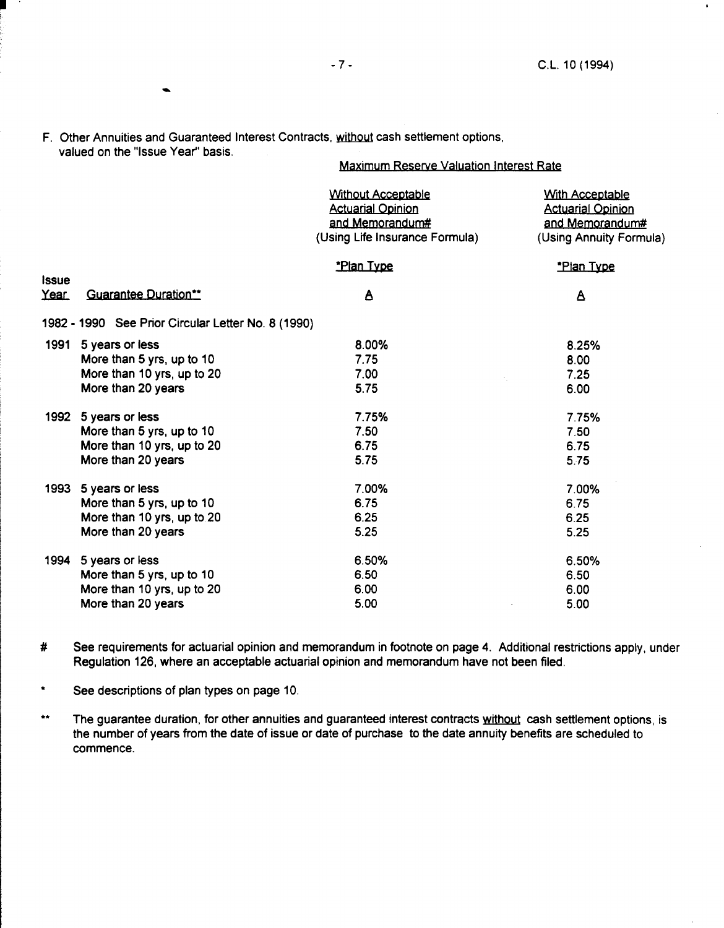..

I

F. Other Annuities and Guaranteed Interest Contracts, without cash settlement options, valued on the "Issue Year" basis.

# Maximum Reserve Valuation Interest Rate

|                      |                                                    | <b>Without Acceptable</b><br><b>Actuarial Opinion</b><br>and Memorandum#<br>(Using Life Insurance Formula) | <b>With Acceptable</b><br><b>Actuarial Opinion</b><br>and Memorandum#<br>(Using Annuity Formula) |
|----------------------|----------------------------------------------------|------------------------------------------------------------------------------------------------------------|--------------------------------------------------------------------------------------------------|
|                      |                                                    | *Plan Type                                                                                                 | *Plan Type                                                                                       |
| <b>Issue</b><br>Year | <b>Guarantee Duration**</b>                        | A                                                                                                          | A                                                                                                |
|                      | 1982 - 1990 See Prior Circular Letter No. 8 (1990) |                                                                                                            |                                                                                                  |
|                      | 1991 5 years or less                               | 8.00%                                                                                                      | 8.25%                                                                                            |
|                      | More than 5 yrs, up to 10                          | 7.75                                                                                                       | 8.00                                                                                             |
|                      | More than 10 yrs, up to 20                         | 7.00<br>A.                                                                                                 | 7.25                                                                                             |
|                      | More than 20 years                                 | 5.75                                                                                                       | 6.00                                                                                             |
| 1992                 | 5 years or less                                    | 7.75%                                                                                                      | 7.75%                                                                                            |
|                      | More than 5 yrs, up to 10                          | 7.50                                                                                                       | 7.50                                                                                             |
|                      | More than 10 yrs, up to 20                         | 6.75                                                                                                       | 6.75                                                                                             |
|                      | More than 20 years                                 | 5.75                                                                                                       | 5.75                                                                                             |
| 1993                 | 5 years or less                                    | 7.00%                                                                                                      | 7.00%                                                                                            |
|                      | More than 5 yrs, up to 10                          | 6.75                                                                                                       | 6.75                                                                                             |
|                      | More than 10 yrs, up to 20                         | 6.25                                                                                                       | 6.25                                                                                             |
|                      | More than 20 years                                 | 5.25                                                                                                       | 5.25                                                                                             |
| 1994                 | 5 years or less                                    | 6.50%                                                                                                      | 6.50%                                                                                            |
|                      | More than 5 yrs, up to 10                          | 6.50                                                                                                       | 6.50                                                                                             |
|                      | More than 10 yrs, up to 20                         | 6.00                                                                                                       | 6.00                                                                                             |
|                      | More than 20 years                                 | 5.00                                                                                                       | 5.00                                                                                             |

# See requirements for actuarial opinion and memorandum in footnote on page 4. Additional restrictions apply, under Regulation 126, where an acceptable actuarial opinion and memorandum have not been filed.

- \* See descriptions of plan types on page 10.
- \*\* The guarantee duration, for other annuities and guaranteed interest contracts without cash settlement options, is the number of years from the date of issue or date of purchase to the date annuity benefits are scheduled to commence.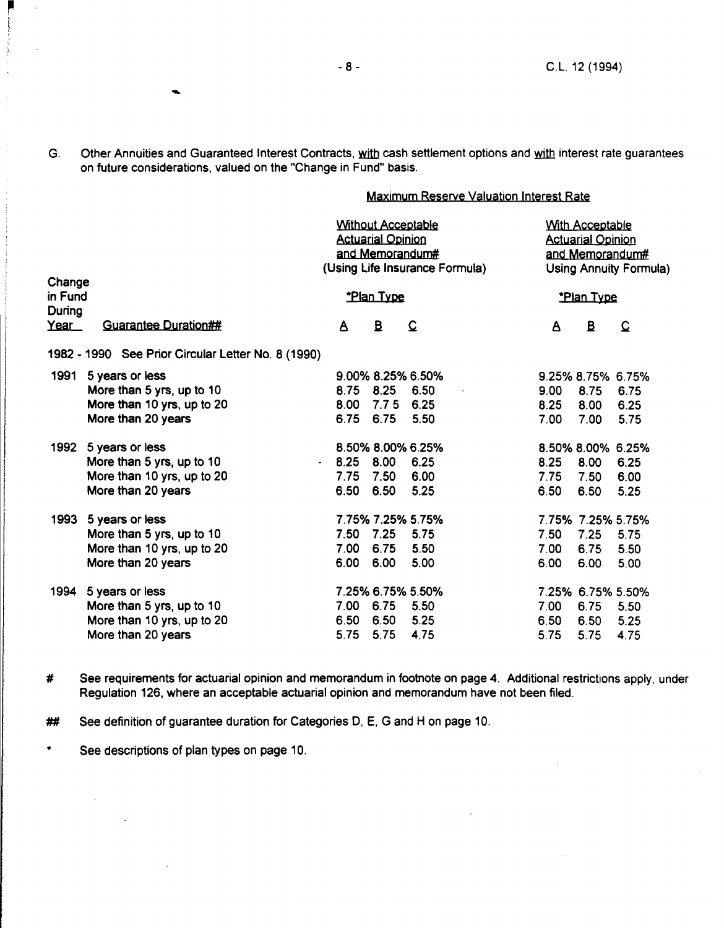G. Other Annuities and Guaranteed Interest Contracts, with cash settlement options and with interest rate guarantees on future considerations, valued on the "Change in Fund" basis.

# Maximum Reserve Valuation Interest Rate

|                             |                                                    |              | <b>Without Acceptable</b><br><b>Actuarial Opinion</b><br>and Memorandum# | (Using Life Insurance Formula) | <b>With Acceptable</b><br><b>Actuarial Opinion</b><br>and Memorandum#<br>Using Annuity Formula) |                   |                |
|-----------------------------|----------------------------------------------------|--------------|--------------------------------------------------------------------------|--------------------------------|-------------------------------------------------------------------------------------------------|-------------------|----------------|
| Change<br>in Fund<br>During |                                                    |              | *Plan Type                                                               |                                |                                                                                                 | *Plan Type        |                |
| Year                        | <b>Guarantee Duration##</b>                        | $\mathbf{A}$ | $\mathbf{B}$                                                             | $\Omega$                       | A                                                                                               | $\mathbf{B}$      | $\overline{C}$ |
|                             | 1982 - 1990 See Prior Circular Letter No. 8 (1990) |              |                                                                          |                                |                                                                                                 |                   |                |
| 1991                        | 5 years or less                                    |              |                                                                          | 9.00% 8.25% 6.50%              |                                                                                                 | 9.25% 8.75% 6.75% |                |
|                             | More than 5 yrs, up to 10                          | 8.75         | 8.25                                                                     | 6.50                           | 9.00                                                                                            | 8.75              | 6.75           |
|                             | More than 10 yrs, up to 20                         | 8.00         | 7.75                                                                     | 6.25                           | 8.25                                                                                            | 8.00              | 6.25           |
|                             | More than 20 years                                 | 6.75         | 6.75                                                                     | 5.50                           | 7.00                                                                                            | 7.00              | 5.75           |
| 1992                        | 5 years or less                                    |              |                                                                          | 8.50% 8.00% 6.25%              |                                                                                                 | 8.50% 8.00% 6.25% |                |
|                             | More than 5 yrs, up to 10                          | $-8.25$      | 8.00                                                                     | 6.25                           | 8.25                                                                                            | 8.00              | 6.25           |
|                             | More than 10 yrs, up to 20                         | 7.75         | 7.50                                                                     | 6.00                           | 7.75                                                                                            | 7.50              | 6.00           |
|                             | More than 20 years                                 | 6.50         | 6.50                                                                     | 5.25                           | 6.50                                                                                            | 6.50              | 5.25           |
| 1993                        | 5 years or less                                    |              |                                                                          | 7.75% 7.25% 5.75%              |                                                                                                 | 7.75% 7.25% 5.75% |                |
|                             | More than 5 yrs, up to 10                          | 7.50         | 7.25                                                                     | 5.75                           | 7.50                                                                                            | 7.25              | 5.75           |
|                             | More than 10 yrs, up to 20                         | 7.00         | 6.75                                                                     | 5.50                           | 7.00                                                                                            | 6.75              | 5.50           |
|                             | More than 20 years                                 | 6.00         | 6.00                                                                     | 5.00                           | 6.00                                                                                            | 6.00              | 5.00           |
| 1994                        | 5 years or less                                    |              |                                                                          | 7.25% 6.75% 5.50%              |                                                                                                 | 7.25% 6.75% 5.50% |                |
|                             | More than 5 yrs, up to 10                          | 7.00         | 6.75                                                                     | 5.50                           | 7.00                                                                                            | 6.75              | 5.50           |
|                             | More than 10 yrs, up to 20                         | 6.50         | 6.50                                                                     | 5.25                           | 6.50                                                                                            | 6.50              | 5.25           |
|                             | More than 20 years                                 | 5.75         | 5.75                                                                     | 4.75                           | 5.75                                                                                            | 5.75              | 4.75           |

# See requirements for actuarial opinion and memorandum in footnote on page 4. Additional restrictions apply, under Regulation 126, where an acceptable actuarial opinion and memorandum have not been filed.

**##** See definition of guarantee duration for Categories D, E, G and H on page 10.

\* See descriptions of plan types on page 10.

 $\sim$ 

 $\Delta \sim 10^{11}$  m  $^{-1}$  .

 $\sim 10^{-10}$ 

-

 $\frac{1}{2}$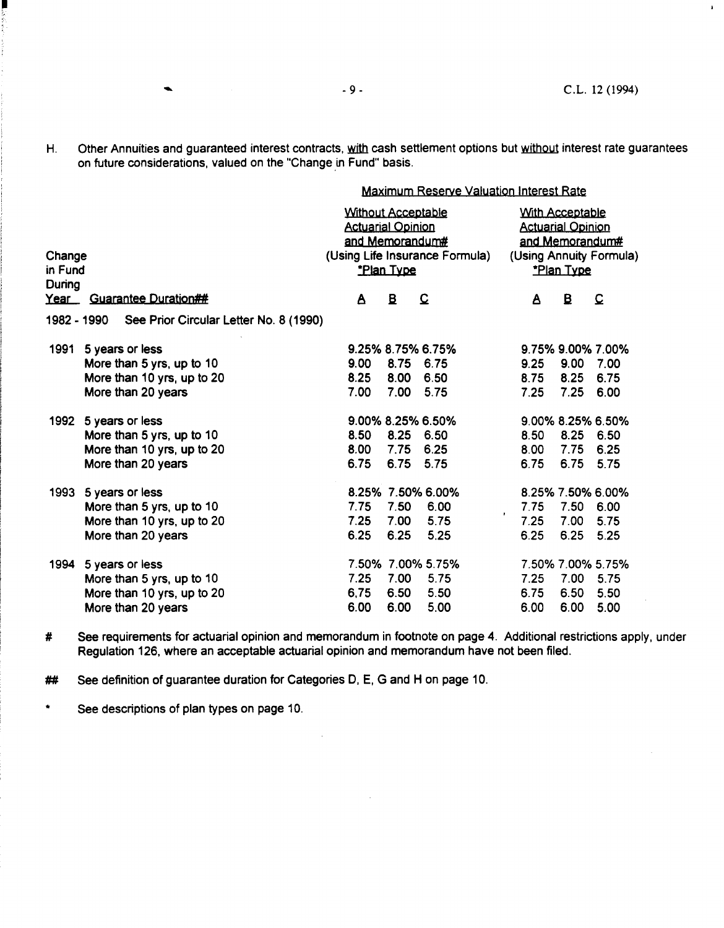$\mathbf{F}$ 

H. Other Annuities and guaranteed interest contracts, with cash settlement options but without interest rate guarantees on future considerations, valued on the "Change in Fund" basis.

Maximum Reserve Valuation Interest Rate

| Change<br>in Fund<br>During |                                                       | <b>Without Acceptable</b><br><b>Actuarial Opinion</b><br>and Memorandum#<br><b>Plan Type</b> | (Using Life Insurance Formula) | <b>With Acceptable</b><br><b>Actuarial Opinion</b><br>and Memorandum#<br>(Using Annuity Formula)<br><u>*Plan Type</u> |                   |      |                   |
|-----------------------------|-------------------------------------------------------|----------------------------------------------------------------------------------------------|--------------------------------|-----------------------------------------------------------------------------------------------------------------------|-------------------|------|-------------------|
| <u>Year </u>                | <b>Guarantee Duration##</b>                           | A                                                                                            | B                              | $\Omega$                                                                                                              | Δ                 | B    | Q                 |
|                             | See Prior Circular Letter No. 8 (1990)<br>1982 - 1990 |                                                                                              |                                |                                                                                                                       |                   |      |                   |
| 1991                        | 5 years or less                                       | 9.25% 8.75% 6.75%                                                                            |                                |                                                                                                                       |                   |      | 9.75% 9.00% 7.00% |
|                             | More than 5 yrs, up to 10                             | 9.00                                                                                         | 8.75 6.75                      |                                                                                                                       | 9.25              | 9.00 | 7.00              |
|                             | More than 10 yrs, up to 20                            | 8.25                                                                                         | 8.00 6.50                      |                                                                                                                       | 8.75              | 8.25 | 6.75              |
|                             | More than 20 years                                    | 7.00                                                                                         | 7.00                           | 5.75                                                                                                                  | 7.25              | 7.25 | 6.00              |
| 1992                        | 5 years or less                                       |                                                                                              |                                | 9.00% 8.25% 6.50%                                                                                                     |                   |      | 9.00% 8.25% 6.50% |
|                             | More than 5 yrs, up to 10                             | 8.50                                                                                         | 8.25 6.50                      |                                                                                                                       | 8.50              | 8.25 | 6.50              |
|                             | More than 10 yrs, up to 20                            | 8.00                                                                                         | 7.75                           | 6.25                                                                                                                  | 8.00              | 7.75 | 6.25              |
|                             | More than 20 years                                    | 6.75                                                                                         | 6.75 5.75                      |                                                                                                                       | 6.75              | 6.75 | 5.75              |
| 1993                        | 5 years or less                                       |                                                                                              |                                | 8.25% 7.50% 6.00%                                                                                                     |                   |      | 8.25% 7.50% 6.00% |
|                             | More than 5 yrs, up to 10                             | 7.75                                                                                         | 7.50                           | 6.00                                                                                                                  | 7.75              | 7.50 | 6.00              |
|                             | More than 10 yrs, up to 20                            | 7.25                                                                                         | 7.00                           | 5.75                                                                                                                  | $\bullet$<br>7.25 | 7.00 | 5.75              |
|                             | More than 20 years                                    | 6.25                                                                                         | 6.25                           | 5.25                                                                                                                  | 6.25              | 6.25 | 5.25              |
| 1994                        | 5 years or less                                       |                                                                                              |                                | 7.50% 7.00% 5.75%                                                                                                     |                   |      | 7.50% 7.00% 5.75% |
|                             | More than 5 yrs, up to 10                             | 7.25                                                                                         | 7.00                           | 5.75                                                                                                                  | 7.25              | 7.00 | 5.75              |
|                             | More than 10 yrs, up to 20                            | 6,75                                                                                         | 6.50                           | 5.50                                                                                                                  | 6.75              | 6.50 | 5.50              |
|                             | More than 20 years                                    | 6.00                                                                                         | 6.00                           | 5.00                                                                                                                  | 6.00              | 6.00 | 5.00              |

# See requirements for actuarial opinion and memorandum in footnote on page 4. Additional restrictions apply, under Regulation 126, where an acceptable actuarial opinion and memorandum have not been filed.

 $\mathcal{L}$ 

**##** See definition of guarantee duration for Categories D, E, G and H on page 10.

\* See descriptions of plan types on page 10.

-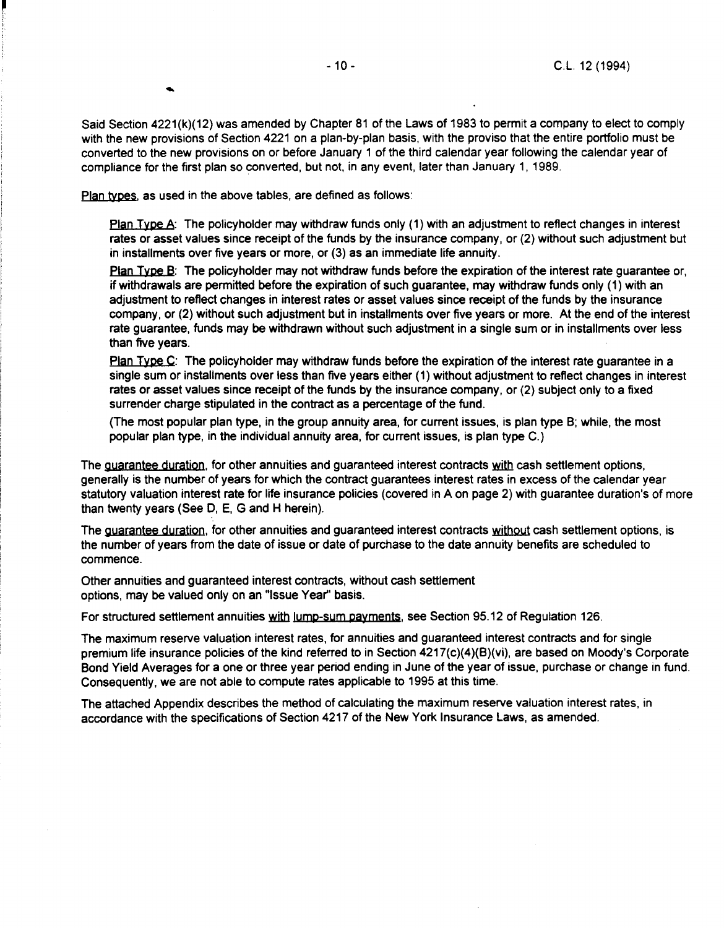$\bullet$ 

Said Section 4221(k)(12) was amended by Chapter 81 of the Laws of 1983 to permit a company to elect to comply with the new provisions of Section 4221 on a plan-by-plan basis, with the proviso that the entire portfolio must be converted to the new provisions on or before January 1 of the third calendar year following the calendar year of compliance for the first plan so converted, but not, in any event, later than January 1, 1989.

Plan types, as used in the above tables, are defined as follows:

Plan Type A: The policyholder may withdraw funds only (1) with an adjustment to reflect changes in interest rates or asset values since receipt of the funds by the insurance company, or (2} without such adjustment but in installments over five years or more, or (3} as an immediate life annuity.

Plan Type B: The policyholder may not withdraw funds before the expiration of the interest rate quarantee or, if withdrawals are permitted before the expiration of such guarantee, may withdraw funds only (1} with an adjustment to reflect changes in interest rates or asset values since receipt of the funds by the insurance company, or (2) without such adjustment but in installments over five years or more. At the end of the interest rate guarantee, funds may be withdrawn without such adjustment in a single sum or in installments over less than five years.

Plan Type C: The policyholder may withdraw funds before the expiration of the interest rate guarantee in a single sum or installments over less than five years either (1} without adjustment to reflect changes in interest rates or asset values since receipt of the funds by the insurance company, or (2} subject only to a fixed surrender charge stipulated in the contract as a percentage of the fund.

(The most popular plan type, in the group annuity area, for current issues, is plan type B; while, the most popular plan type, in the individual annuity area, for current issues, is plan type C.}

The guarantee duration, for other annuities and guaranteed interest contracts with cash settlement options, generally is the number of years for which the contract guarantees interest rates in excess of the calendar year statutory valuation interest rate for life insurance policies (covered in A on page 2} with guarantee duration's of more than twenty years (See 0, E, G and H herein).

The guarantee duration, for other annuities and guaranteed interest contracts without cash settlement options, is the number of years from the date of issue or date of purchase to the date annuity benefits are scheduled to commence.

Other annuities and guaranteed interest contracts, without cash settlement options, may be valued only on an "Issue Year" basis.

For structured settlement annuities with lump-sum payments, see Section 95.12 of Regulation 126.

The maximum reserve valuation interest rates, for annuities and guaranteed interest contracts and for single premium life insurance policies of the kind referred to in Section 4217(c)(4)(B)(vi), are based on Moody's Corporate Bond Yield Averages for a one or three year period ending in June of the year of issue, purchase or change in fund. Consequently, we are not able to compute rates applicable to 1995 at this time.

The attached Appendix describes the method of calculating the maximum reserve valuation interest rates, in accordance with the specifications of Section 4217 of the New York Insurance Laws, as amended.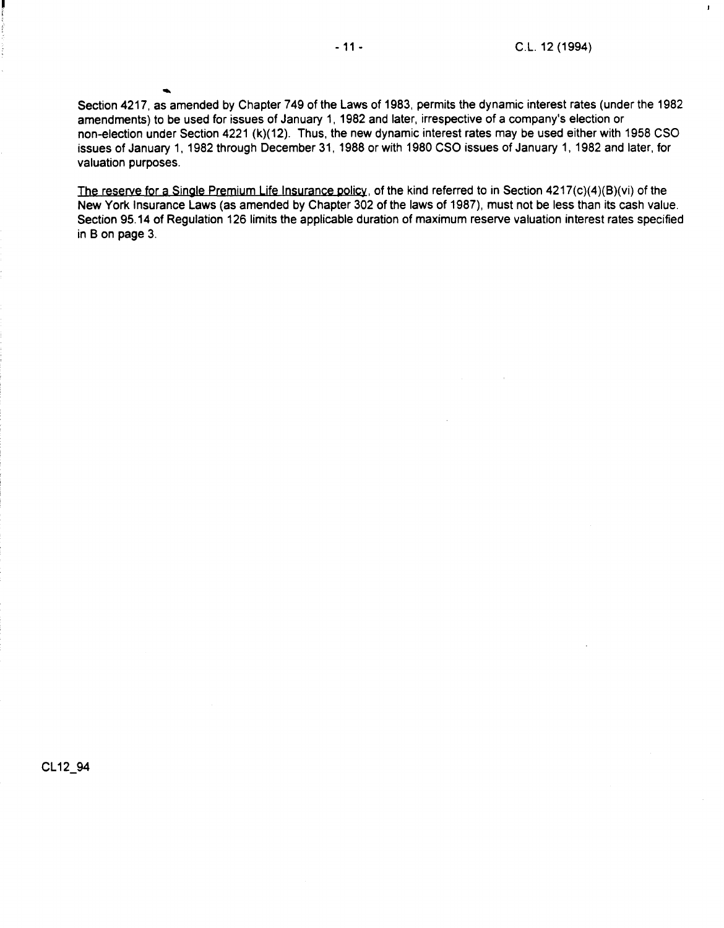$\mathbf{r}$ 

Section 4217, as amended by Chapter 749 of the Laws of 1983, permits the dynamic interest rates (under the 1982 amendments) to be used for issues of January 1, 1982 and later, irrespective of a company's election or non-election under Section 4221 (k)(12). Thus, the new dynamic interest rates may be used either with 1958 CSO issues of January 1, 1982 through December 31, 1988 or with 1980 CSO issues of January 1, 1982 and later, for valuation purposes.

The reserve for a Single Premium Life Insurance policy, of the kind referred to in Section  $4217(c)(4)(B)(vi)$  of the New York Insurance Laws (as amended by Chapter 302 of the laws of 1987), must not be less than its cash value. Section 95.14 of Regulation 126 limits the applicable duration of maximum reserve valuation interest rates specified in Bon page 3.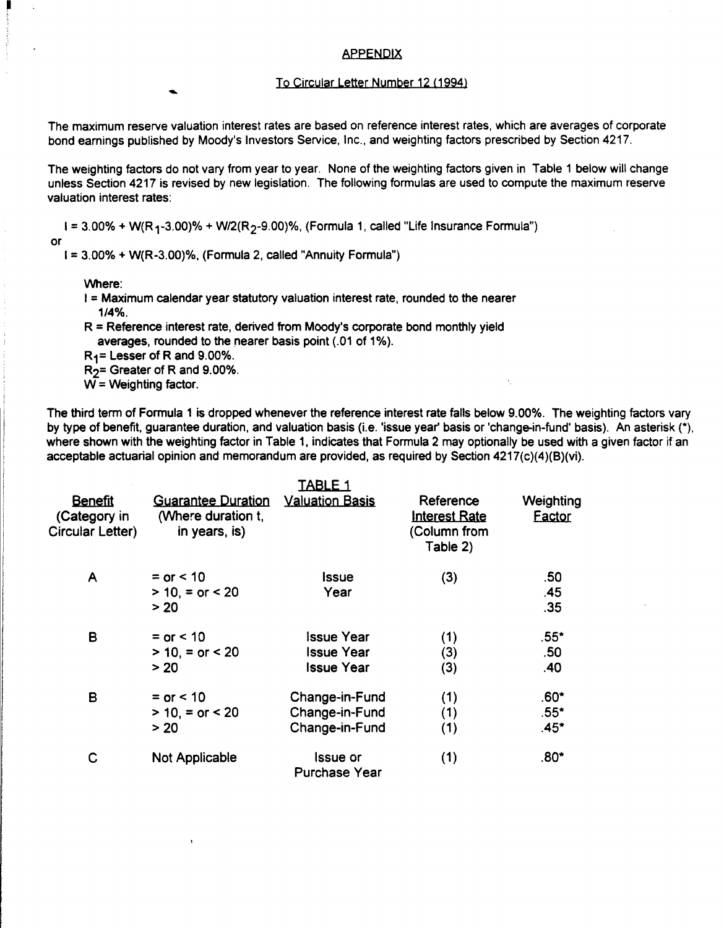#### APPENDIX

#### To Circular Letter Number 12 (1994)

The maximum reserve valuation interest rates are based on reference interest rates, which are averages of corporate bond earnings published by Moody's Investors Service, Inc., and weighting factors prescribed by Section 4217.

The weighting factors do not vary from year to year. None of the weighting factors given in Table 1 below will change unless Section 4217 is revised by new legislation. The following formulas are used to compute the maximum reserve valuation interest rates:

 $I = 3.00\% + W(R<sub>1</sub>-3.00)\% + W/2(R<sub>2</sub>-9.00)\%$ , (Formula 1, called "Life Insurance Formula")

or

 $I = 3.00% + W(R-3.00)%$ , (Formula 2, called "Annuity Formula")

Where:

- I = Maximum calendar year statutory valuation interest rate, rounded to the nearer 1/4%.
- $R =$  Reference interest rate, derived from Moody's corporate bond monthly yield averages, rounded to the nearer basis point (.01 of 1%).

R1= Lesser of Rand 9.00%.

 $R<sub>2</sub>$ = Greater of R and 9.00%.

 $W = Weighting factor$ .

The third term of Formula 1 is dropped whenever the reference interest rate falls below 9.00%. The weighting factors vary by type of benefit, guarantee duration, and valuation basis (i.e. 'issue year' basis or 'change-in-fund' basis). An asterisk (\*), where shown with the weighting factor in Table 1, indicates that Formula 2 may optionally be used with a given factor if an acceptable actuarial opinion and memorandum are provided, as required by Section 4217(c)(4){B)(vi).

|                                                    |                                                                  | <u>TABLE 1</u>                                              |                                                               |                            |
|----------------------------------------------------|------------------------------------------------------------------|-------------------------------------------------------------|---------------------------------------------------------------|----------------------------|
| <b>Benefit</b><br>(Category in<br>Circular Letter) | <b>Guarantee Duration</b><br>(Where duration t,<br>in years, is) | <b>Valuation Basis</b>                                      | Reference<br><b>Interest Rate</b><br>(Column from<br>Table 2) | Weighting<br>Eactor        |
| A                                                  | $=$ or $< 10$<br>$> 10 =$ or $< 20$<br>> 20                      | Issue<br>Year                                               | (3)                                                           | .50<br>.45<br>.35          |
| B                                                  | $=$ or $< 10$<br>$> 10$ , = or < 20<br>> 20                      | <b>Issue Year</b><br><b>Issue Year</b><br><b>Issue Year</b> | (1)<br>(3)<br>(3)                                             | $.55*$<br>.50<br>.40       |
| B                                                  | $= or < 10$<br>$> 10 =$ or $< 20$<br>> 20                        | Change-in-Fund<br>Change-in-Fund<br>Change-in-Fund          | (1)<br>(1)<br>(1)                                             | $.60*$<br>$.55*$<br>$.45*$ |
| С                                                  | Not Applicable                                                   | <b>Issue or</b><br>Purchase Year                            | (1)                                                           | $.80*$                     |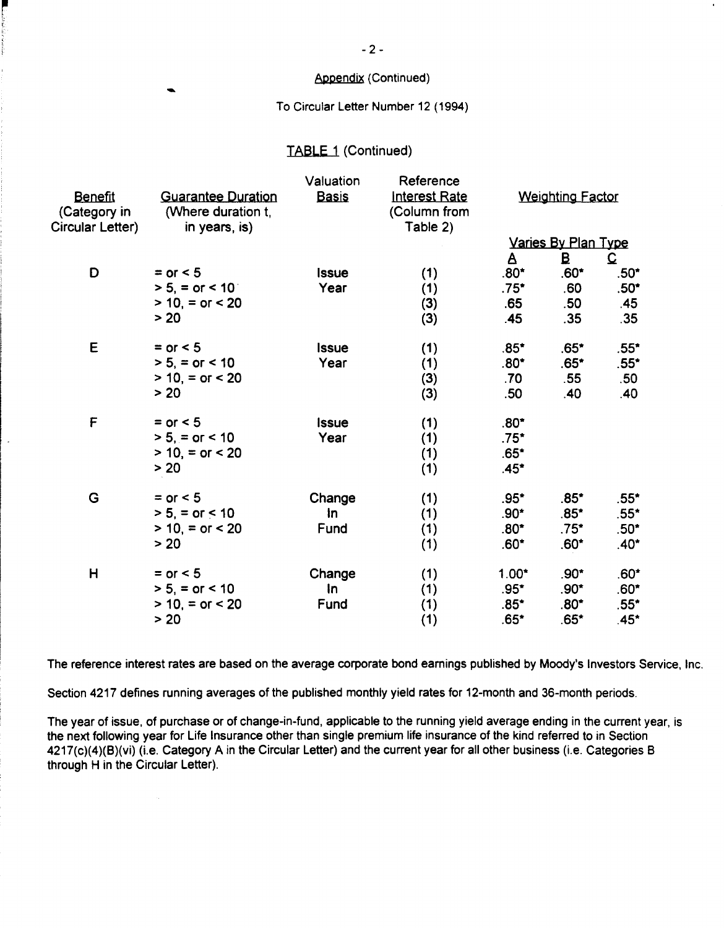# Appendix (Continued)

To Circular Letter Number 12 (1994)

# TABLE 1 (Continued)

rang pangalang pangalang pangangang pangangang pangangang pangang pangang pangang pangang pangang pangang pang<br>Pangang pangang pangang pangang pangang pangang pangang pangang pangang pangang pangang pangang pangang pangan

l,

|                                                    |                                                                  | Valuation    | Reference                                        |                  |                            |                  |
|----------------------------------------------------|------------------------------------------------------------------|--------------|--------------------------------------------------|------------------|----------------------------|------------------|
| <b>Benefit</b><br>(Category in<br>Circular Letter) | <b>Guarantee Duration</b><br>(Where duration t,<br>in years, is) | <b>Basis</b> | <b>Interest Rate</b><br>(Column from<br>Table 2) |                  | <b>Weighting Factor</b>    |                  |
|                                                    |                                                                  |              |                                                  |                  | <u>Varies By Plan Type</u> |                  |
|                                                    |                                                                  |              |                                                  | $\mathbf{A}$     | B                          | $\mathbf{C}$     |
| D                                                  | $=$ or $<$ 5                                                     | Issue        | (1)                                              | $.80*$           | $.60*$                     | $.50*$           |
|                                                    | $> 5$ , = or < 10                                                | Year         | (1)                                              | $.75^*$          | .60                        | $.50^*$          |
|                                                    | $> 10$ , = or < 20                                               |              | (3)                                              | .65              | .50                        | .45              |
|                                                    | > 20                                                             |              | (3)                                              | .45              | .35                        | .35              |
| E                                                  | $=$ or $<$ 5                                                     | <b>Issue</b> | (1)                                              | $.85*$           | $.65*$                     | $.55*$           |
|                                                    | $> 5$ , = or < 10                                                | Year         | (1)                                              | $.80*$           | $.65*$                     | $.55^*$          |
|                                                    | $> 10$ , = or < 20                                               |              | (3)                                              | .70              | .55                        | .50 <sub>1</sub> |
|                                                    | > 20                                                             |              | (3)                                              | .50 <sub>1</sub> | .40                        | .40              |
| F                                                  | $=$ or $<$ 5                                                     | <b>Issue</b> | (1)                                              | $.80^*$          |                            |                  |
|                                                    | $> 5, =$ or $< 10$                                               | Year         | (1)                                              | $.75^*$          |                            |                  |
|                                                    | $> 10 =$ or $< 20$                                               |              | (1)                                              | $.65*$           |                            |                  |
|                                                    | > 20                                                             |              | (1)                                              | $.45*$           |                            |                  |
| G                                                  | $=$ or $<$ 5                                                     | Change       | (1)                                              | $.95*$           | $.85*$                     | $.55*$           |
|                                                    | $> 5$ , = or < 10                                                | In.          | (1)                                              | $.90*$           | $.85*$                     | $.55*$           |
|                                                    | $> 10$ , = or < 20                                               | Fund         | (1)                                              | $.80*$           | $.75*$                     | $.50^{\star}$    |
|                                                    | > 20                                                             |              | (1)                                              | $.60*$           | $.60*$                     | $.40*$           |
| H                                                  | $=$ or $<$ 5                                                     | Change       | (1)                                              | $1.00*$          | $.90*$                     | $.60*$           |
|                                                    | $> 5$ , = or < 10                                                | In           | (1)                                              | $.95*$           | $.90*$                     | $.60*$           |
|                                                    | $> 10, = or < 20$                                                | Fund         | (1)                                              | $.85*$           | $.80*$                     | $.55^*$          |
|                                                    | > 20                                                             |              | (1)                                              | $.65*$           | $.65*$                     | $.45*$           |

The reference interest rates are based on the average corporate bond earnings published by Moody's Investors Service, Inc.

Section 4217 defines running averages of the published monthly yield rates for 12-month and 36-month periods.

The year of issue, of purchase or of change-in-fund, applicable to the running yield average ending in the current year, is the next following year for life Insurance other than single premium life insurance of the kind referred to in Section 4217(c)(4)(8)(vi) (i.e. Category A in the Circular letter) and the current year for all other business (i.e. Categories 8 through H in the Circular Letter).

 $-2-$